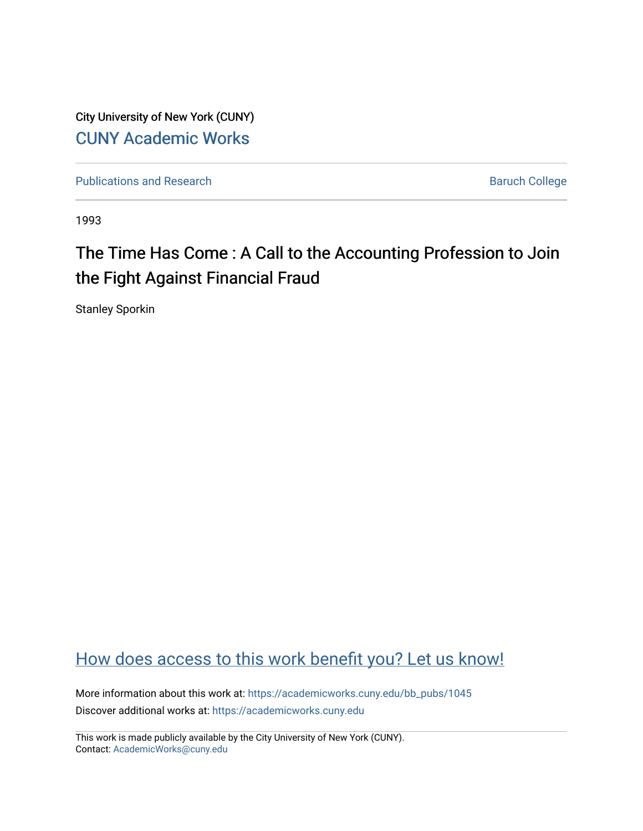City University of New York (CUNY) [CUNY Academic Works](https://academicworks.cuny.edu/) 

[Publications and Research](https://academicworks.cuny.edu/bb_pubs) **Baruch College** Baruch College

1993

# The Time Has Come : A Call to the Accounting Profession to Join the Fight Against Financial Fraud

Stanley Sporkin

## [How does access to this work benefit you? Let us know!](http://ols.cuny.edu/academicworks/?ref=https://academicworks.cuny.edu/bb_pubs/1045)

More information about this work at: [https://academicworks.cuny.edu/bb\\_pubs/1045](https://academicworks.cuny.edu/bb_pubs/1045) Discover additional works at: [https://academicworks.cuny.edu](https://academicworks.cuny.edu/?)

This work is made publicly available by the City University of New York (CUNY). Contact: [AcademicWorks@cuny.edu](mailto:AcademicWorks@cuny.edu)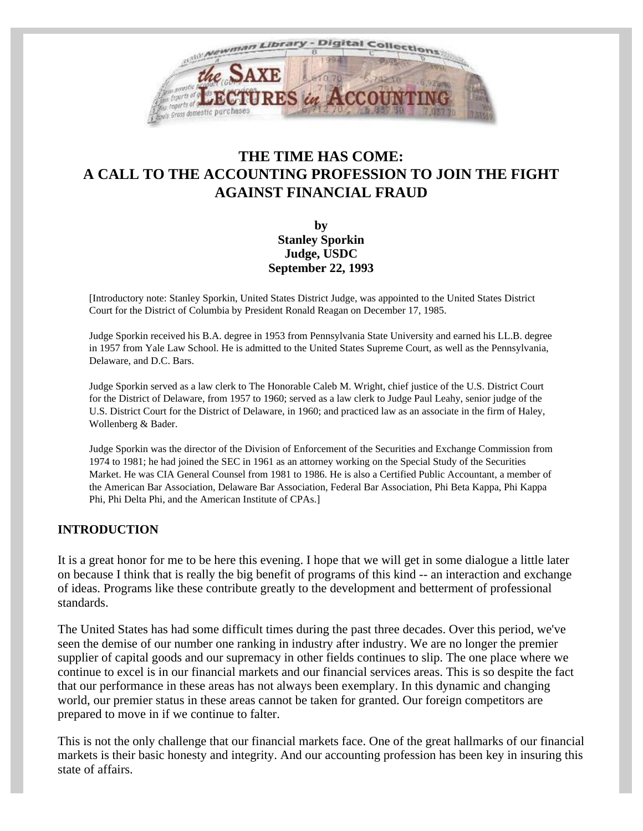

### **THE TIME HAS COME: A CALL TO THE ACCOUNTING PROFESSION TO JOIN THE FIGHT AGAINST FINANCIAL FRAUD**

**by Stanley Sporkin Judge, USDC September 22, 1993**

[Introductory note: Stanley Sporkin, United States District Judge, was appointed to the United States District Court for the District of Columbia by President Ronald Reagan on December 17, 1985.

Judge Sporkin received his B.A. degree in 1953 from Pennsylvania State University and earned his LL.B. degree in 1957 from Yale Law School. He is admitted to the United States Supreme Court, as well as the Pennsylvania, Delaware, and D.C. Bars.

Judge Sporkin served as a law clerk to The Honorable Caleb M. Wright, chief justice of the U.S. District Court for the District of Delaware, from 1957 to 1960; served as a law clerk to Judge Paul Leahy, senior judge of the U.S. District Court for the District of Delaware, in 1960; and practiced law as an associate in the firm of Haley, Wollenberg & Bader.

Judge Sporkin was the director of the Division of Enforcement of the Securities and Exchange Commission from 1974 to 1981; he had joined the SEC in 1961 as an attorney working on the Special Study of the Securities Market. He was CIA General Counsel from 1981 to 1986. He is also a Certified Public Accountant, a member of the American Bar Association, Delaware Bar Association, Federal Bar Association, Phi Beta Kappa, Phi Kappa Phi, Phi Delta Phi, and the American Institute of CPAs.]

#### **INTRODUCTION**

It is a great honor for me to be here this evening. I hope that we will get in some dialogue a little later on because I think that is really the big benefit of programs of this kind -- an interaction and exchange of ideas. Programs like these contribute greatly to the development and betterment of professional standards.

The United States has had some difficult times during the past three decades. Over this period, we've seen the demise of our number one ranking in industry after industry. We are no longer the premier supplier of capital goods and our supremacy in other fields continues to slip. The one place where we continue to excel is in our financial markets and our financial services areas. This is so despite the fact that our performance in these areas has not always been exemplary. In this dynamic and changing world, our premier status in these areas cannot be taken for granted. Our foreign competitors are prepared to move in if we continue to falter.

This is not the only challenge that our financial markets face. One of the great hallmarks of our financial markets is their basic honesty and integrity. And our accounting profession has been key in insuring this state of affairs.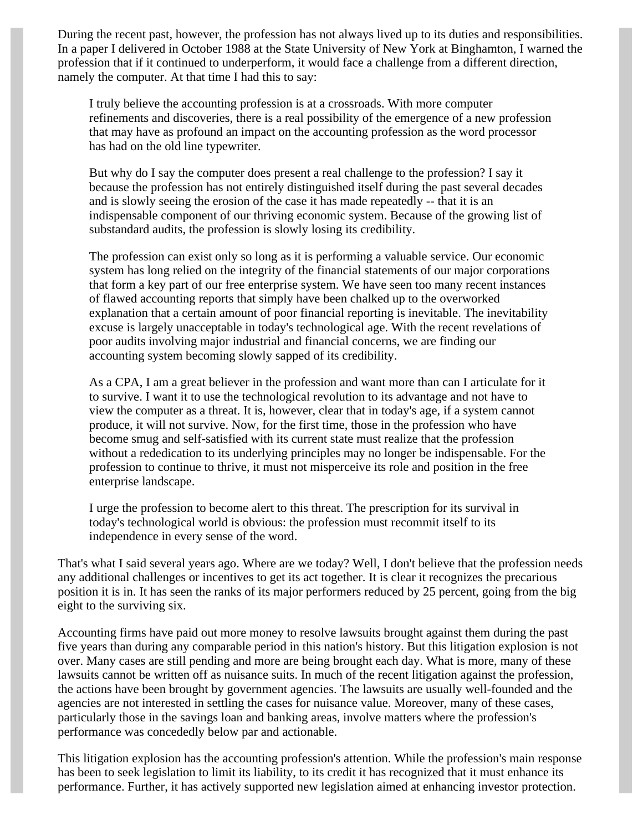During the recent past, however, the profession has not always lived up to its duties and responsibilities. In a paper I delivered in October 1988 at the State University of New York at Binghamton, I warned the profession that if it continued to underperform, it would face a challenge from a different direction, namely the computer. At that time I had this to say:

I truly believe the accounting profession is at a crossroads. With more computer refinements and discoveries, there is a real possibility of the emergence of a new profession that may have as profound an impact on the accounting profession as the word processor has had on the old line typewriter.

But why do I say the computer does present a real challenge to the profession? I say it because the profession has not entirely distinguished itself during the past several decades and is slowly seeing the erosion of the case it has made repeatedly -- that it is an indispensable component of our thriving economic system. Because of the growing list of substandard audits, the profession is slowly losing its credibility.

The profession can exist only so long as it is performing a valuable service. Our economic system has long relied on the integrity of the financial statements of our major corporations that form a key part of our free enterprise system. We have seen too many recent instances of flawed accounting reports that simply have been chalked up to the overworked explanation that a certain amount of poor financial reporting is inevitable. The inevitability excuse is largely unacceptable in today's technological age. With the recent revelations of poor audits involving major industrial and financial concerns, we are finding our accounting system becoming slowly sapped of its credibility.

As a CPA, I am a great believer in the profession and want more than can I articulate for it to survive. I want it to use the technological revolution to its advantage and not have to view the computer as a threat. It is, however, clear that in today's age, if a system cannot produce, it will not survive. Now, for the first time, those in the profession who have become smug and self-satisfied with its current state must realize that the profession without a rededication to its underlying principles may no longer be indispensable. For the profession to continue to thrive, it must not misperceive its role and position in the free enterprise landscape.

I urge the profession to become alert to this threat. The prescription for its survival in today's technological world is obvious: the profession must recommit itself to its independence in every sense of the word.

That's what I said several years ago. Where are we today? Well, I don't believe that the profession needs any additional challenges or incentives to get its act together. It is clear it recognizes the precarious position it is in. It has seen the ranks of its major performers reduced by 25 percent, going from the big eight to the surviving six.

Accounting firms have paid out more money to resolve lawsuits brought against them during the past five years than during any comparable period in this nation's history. But this litigation explosion is not over. Many cases are still pending and more are being brought each day. What is more, many of these lawsuits cannot be written off as nuisance suits. In much of the recent litigation against the profession, the actions have been brought by government agencies. The lawsuits are usually well-founded and the agencies are not interested in settling the cases for nuisance value. Moreover, many of these cases, particularly those in the savings loan and banking areas, involve matters where the profession's performance was concededly below par and actionable.

This litigation explosion has the accounting profession's attention. While the profession's main response has been to seek legislation to limit its liability, to its credit it has recognized that it must enhance its performance. Further, it has actively supported new legislation aimed at enhancing investor protection.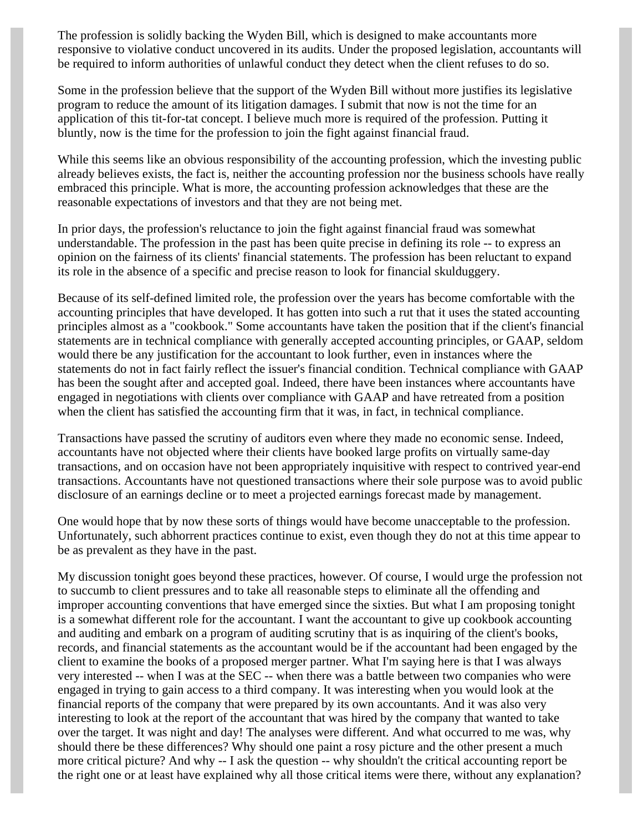The profession is solidly backing the Wyden Bill, which is designed to make accountants more responsive to violative conduct uncovered in its audits. Under the proposed legislation, accountants will be required to inform authorities of unlawful conduct they detect when the client refuses to do so.

Some in the profession believe that the support of the Wyden Bill without more justifies its legislative program to reduce the amount of its litigation damages. I submit that now is not the time for an application of this tit-for-tat concept. I believe much more is required of the profession. Putting it bluntly, now is the time for the profession to join the fight against financial fraud.

While this seems like an obvious responsibility of the accounting profession, which the investing public already believes exists, the fact is, neither the accounting profession nor the business schools have really embraced this principle. What is more, the accounting profession acknowledges that these are the reasonable expectations of investors and that they are not being met.

In prior days, the profession's reluctance to join the fight against financial fraud was somewhat understandable. The profession in the past has been quite precise in defining its role -- to express an opinion on the fairness of its clients' financial statements. The profession has been reluctant to expand its role in the absence of a specific and precise reason to look for financial skulduggery.

Because of its self-defined limited role, the profession over the years has become comfortable with the accounting principles that have developed. It has gotten into such a rut that it uses the stated accounting principles almost as a "cookbook." Some accountants have taken the position that if the client's financial statements are in technical compliance with generally accepted accounting principles, or GAAP, seldom would there be any justification for the accountant to look further, even in instances where the statements do not in fact fairly reflect the issuer's financial condition. Technical compliance with GAAP has been the sought after and accepted goal. Indeed, there have been instances where accountants have engaged in negotiations with clients over compliance with GAAP and have retreated from a position when the client has satisfied the accounting firm that it was, in fact, in technical compliance.

Transactions have passed the scrutiny of auditors even where they made no economic sense. Indeed, accountants have not objected where their clients have booked large profits on virtually same-day transactions, and on occasion have not been appropriately inquisitive with respect to contrived year-end transactions. Accountants have not questioned transactions where their sole purpose was to avoid public disclosure of an earnings decline or to meet a projected earnings forecast made by management.

One would hope that by now these sorts of things would have become unacceptable to the profession. Unfortunately, such abhorrent practices continue to exist, even though they do not at this time appear to be as prevalent as they have in the past.

My discussion tonight goes beyond these practices, however. Of course, I would urge the profession not to succumb to client pressures and to take all reasonable steps to eliminate all the offending and improper accounting conventions that have emerged since the sixties. But what I am proposing tonight is a somewhat different role for the accountant. I want the accountant to give up cookbook accounting and auditing and embark on a program of auditing scrutiny that is as inquiring of the client's books, records, and financial statements as the accountant would be if the accountant had been engaged by the client to examine the books of a proposed merger partner. What I'm saying here is that I was always very interested -- when I was at the SEC -- when there was a battle between two companies who were engaged in trying to gain access to a third company. It was interesting when you would look at the financial reports of the company that were prepared by its own accountants. And it was also very interesting to look at the report of the accountant that was hired by the company that wanted to take over the target. It was night and day! The analyses were different. And what occurred to me was, why should there be these differences? Why should one paint a rosy picture and the other present a much more critical picture? And why -- I ask the question -- why shouldn't the critical accounting report be the right one or at least have explained why all those critical items were there, without any explanation?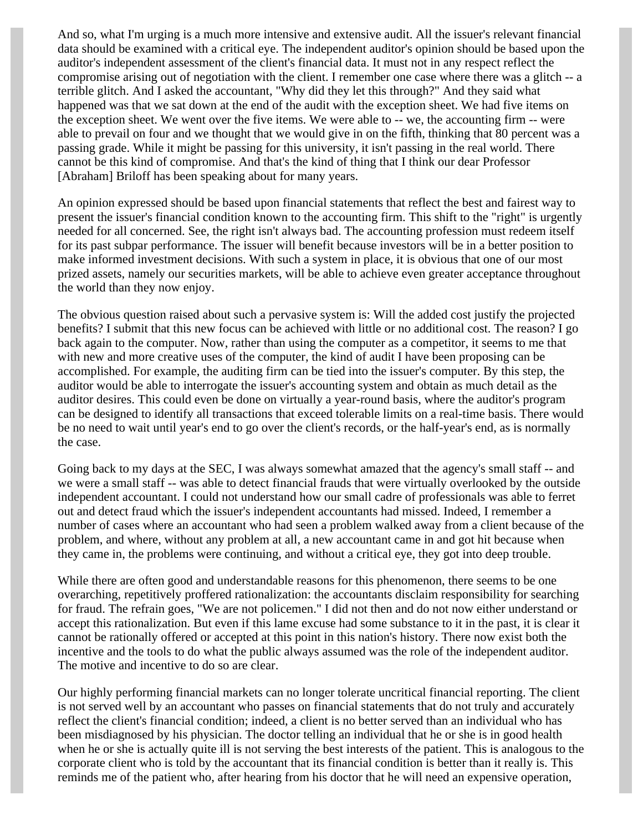And so, what I'm urging is a much more intensive and extensive audit. All the issuer's relevant financial data should be examined with a critical eye. The independent auditor's opinion should be based upon the auditor's independent assessment of the client's financial data. It must not in any respect reflect the compromise arising out of negotiation with the client. I remember one case where there was a glitch -- a terrible glitch. And I asked the accountant, "Why did they let this through?" And they said what happened was that we sat down at the end of the audit with the exception sheet. We had five items on the exception sheet. We went over the five items. We were able to -- we, the accounting firm -- were able to prevail on four and we thought that we would give in on the fifth, thinking that 80 percent was a passing grade. While it might be passing for this university, it isn't passing in the real world. There cannot be this kind of compromise. And that's the kind of thing that I think our dear Professor [Abraham] Briloff has been speaking about for many years.

An opinion expressed should be based upon financial statements that reflect the best and fairest way to present the issuer's financial condition known to the accounting firm. This shift to the "right" is urgently needed for all concerned. See, the right isn't always bad. The accounting profession must redeem itself for its past subpar performance. The issuer will benefit because investors will be in a better position to make informed investment decisions. With such a system in place, it is obvious that one of our most prized assets, namely our securities markets, will be able to achieve even greater acceptance throughout the world than they now enjoy.

The obvious question raised about such a pervasive system is: Will the added cost justify the projected benefits? I submit that this new focus can be achieved with little or no additional cost. The reason? I go back again to the computer. Now, rather than using the computer as a competitor, it seems to me that with new and more creative uses of the computer, the kind of audit I have been proposing can be accomplished. For example, the auditing firm can be tied into the issuer's computer. By this step, the auditor would be able to interrogate the issuer's accounting system and obtain as much detail as the auditor desires. This could even be done on virtually a year-round basis, where the auditor's program can be designed to identify all transactions that exceed tolerable limits on a real-time basis. There would be no need to wait until year's end to go over the client's records, or the half-year's end, as is normally the case.

Going back to my days at the SEC, I was always somewhat amazed that the agency's small staff -- and we were a small staff -- was able to detect financial frauds that were virtually overlooked by the outside independent accountant. I could not understand how our small cadre of professionals was able to ferret out and detect fraud which the issuer's independent accountants had missed. Indeed, I remember a number of cases where an accountant who had seen a problem walked away from a client because of the problem, and where, without any problem at all, a new accountant came in and got hit because when they came in, the problems were continuing, and without a critical eye, they got into deep trouble.

While there are often good and understandable reasons for this phenomenon, there seems to be one overarching, repetitively proffered rationalization: the accountants disclaim responsibility for searching for fraud. The refrain goes, "We are not policemen." I did not then and do not now either understand or accept this rationalization. But even if this lame excuse had some substance to it in the past, it is clear it cannot be rationally offered or accepted at this point in this nation's history. There now exist both the incentive and the tools to do what the public always assumed was the role of the independent auditor. The motive and incentive to do so are clear.

Our highly performing financial markets can no longer tolerate uncritical financial reporting. The client is not served well by an accountant who passes on financial statements that do not truly and accurately reflect the client's financial condition; indeed, a client is no better served than an individual who has been misdiagnosed by his physician. The doctor telling an individual that he or she is in good health when he or she is actually quite ill is not serving the best interests of the patient. This is analogous to the corporate client who is told by the accountant that its financial condition is better than it really is. This reminds me of the patient who, after hearing from his doctor that he will need an expensive operation,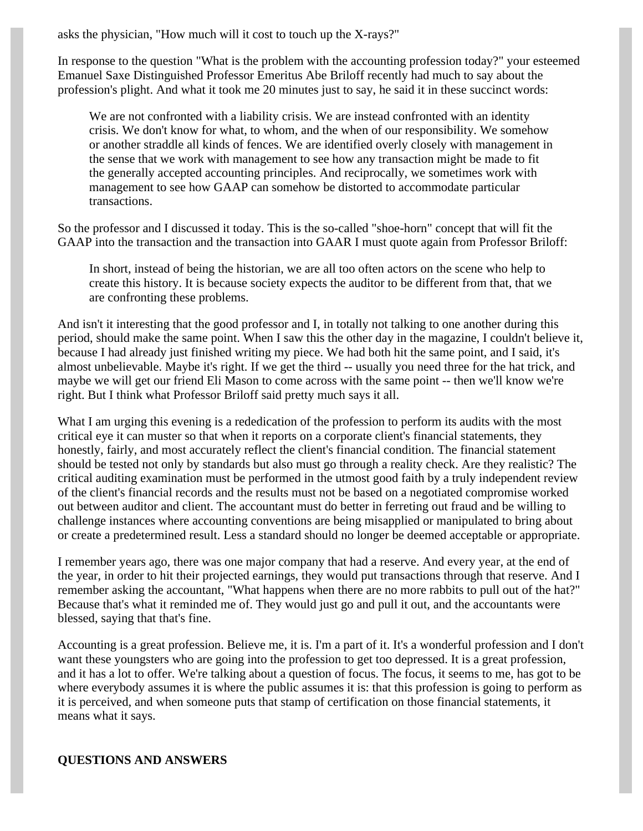asks the physician, "How much will it cost to touch up the X-rays?"

In response to the question "What is the problem with the accounting profession today?" your esteemed Emanuel Saxe Distinguished Professor Emeritus Abe Briloff recently had much to say about the profession's plight. And what it took me 20 minutes just to say, he said it in these succinct words:

We are not confronted with a liability crisis. We are instead confronted with an identity crisis. We don't know for what, to whom, and the when of our responsibility. We somehow or another straddle all kinds of fences. We are identified overly closely with management in the sense that we work with management to see how any transaction might be made to fit the generally accepted accounting principles. And reciprocally, we sometimes work with management to see how GAAP can somehow be distorted to accommodate particular transactions.

So the professor and I discussed it today. This is the so-called "shoe-horn" concept that will fit the GAAP into the transaction and the transaction into GAAR I must quote again from Professor Briloff:

In short, instead of being the historian, we are all too often actors on the scene who help to create this history. It is because society expects the auditor to be different from that, that we are confronting these problems.

And isn't it interesting that the good professor and I, in totally not talking to one another during this period, should make the same point. When I saw this the other day in the magazine, I couldn't believe it, because I had already just finished writing my piece. We had both hit the same point, and I said, it's almost unbelievable. Maybe it's right. If we get the third -- usually you need three for the hat trick, and maybe we will get our friend Eli Mason to come across with the same point -- then we'll know we're right. But I think what Professor Briloff said pretty much says it all.

What I am urging this evening is a rededication of the profession to perform its audits with the most critical eye it can muster so that when it reports on a corporate client's financial statements, they honestly, fairly, and most accurately reflect the client's financial condition. The financial statement should be tested not only by standards but also must go through a reality check. Are they realistic? The critical auditing examination must be performed in the utmost good faith by a truly independent review of the client's financial records and the results must not be based on a negotiated compromise worked out between auditor and client. The accountant must do better in ferreting out fraud and be willing to challenge instances where accounting conventions are being misapplied or manipulated to bring about or create a predetermined result. Less a standard should no longer be deemed acceptable or appropriate.

I remember years ago, there was one major company that had a reserve. And every year, at the end of the year, in order to hit their projected earnings, they would put transactions through that reserve. And I remember asking the accountant, "What happens when there are no more rabbits to pull out of the hat?" Because that's what it reminded me of. They would just go and pull it out, and the accountants were blessed, saying that that's fine.

Accounting is a great profession. Believe me, it is. I'm a part of it. It's a wonderful profession and I don't want these youngsters who are going into the profession to get too depressed. It is a great profession, and it has a lot to offer. We're talking about a question of focus. The focus, it seems to me, has got to be where everybody assumes it is where the public assumes it is: that this profession is going to perform as it is perceived, and when someone puts that stamp of certification on those financial statements, it means what it says.

#### **QUESTIONS AND ANSWERS**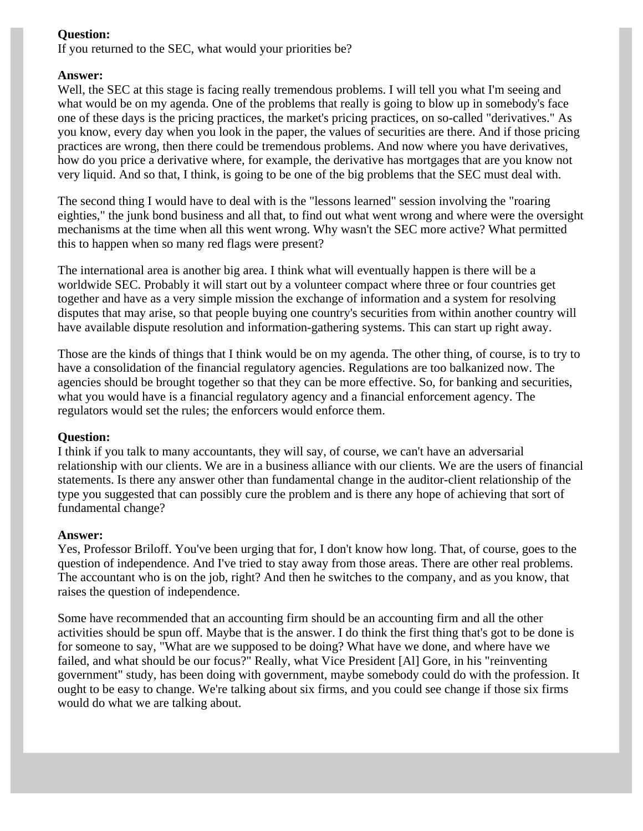#### **Question:**

If you returned to the SEC, what would your priorities be?

#### **Answer:**

Well, the SEC at this stage is facing really tremendous problems. I will tell you what I'm seeing and what would be on my agenda. One of the problems that really is going to blow up in somebody's face one of these days is the pricing practices, the market's pricing practices, on so-called "derivatives." As you know, every day when you look in the paper, the values of securities are there. And if those pricing practices are wrong, then there could be tremendous problems. And now where you have derivatives, how do you price a derivative where, for example, the derivative has mortgages that are you know not very liquid. And so that, I think, is going to be one of the big problems that the SEC must deal with.

The second thing I would have to deal with is the "lessons learned" session involving the "roaring eighties," the junk bond business and all that, to find out what went wrong and where were the oversight mechanisms at the time when all this went wrong. Why wasn't the SEC more active? What permitted this to happen when so many red flags were present?

The international area is another big area. I think what will eventually happen is there will be a worldwide SEC. Probably it will start out by a volunteer compact where three or four countries get together and have as a very simple mission the exchange of information and a system for resolving disputes that may arise, so that people buying one country's securities from within another country will have available dispute resolution and information-gathering systems. This can start up right away.

Those are the kinds of things that I think would be on my agenda. The other thing, of course, is to try to have a consolidation of the financial regulatory agencies. Regulations are too balkanized now. The agencies should be brought together so that they can be more effective. So, for banking and securities, what you would have is a financial regulatory agency and a financial enforcement agency. The regulators would set the rules; the enforcers would enforce them.

#### **Question:**

I think if you talk to many accountants, they will say, of course, we can't have an adversarial relationship with our clients. We are in a business alliance with our clients. We are the users of financial statements. Is there any answer other than fundamental change in the auditor-client relationship of the type you suggested that can possibly cure the problem and is there any hope of achieving that sort of fundamental change?

#### **Answer:**

Yes, Professor Briloff. You've been urging that for, I don't know how long. That, of course, goes to the question of independence. And I've tried to stay away from those areas. There are other real problems. The accountant who is on the job, right? And then he switches to the company, and as you know, that raises the question of independence.

Some have recommended that an accounting firm should be an accounting firm and all the other activities should be spun off. Maybe that is the answer. I do think the first thing that's got to be done is for someone to say, "What are we supposed to be doing? What have we done, and where have we failed, and what should be our focus?" Really, what Vice President [Al] Gore, in his "reinventing government" study, has been doing with government, maybe somebody could do with the profession. It ought to be easy to change. We're talking about six firms, and you could see change if those six firms would do what we are talking about.